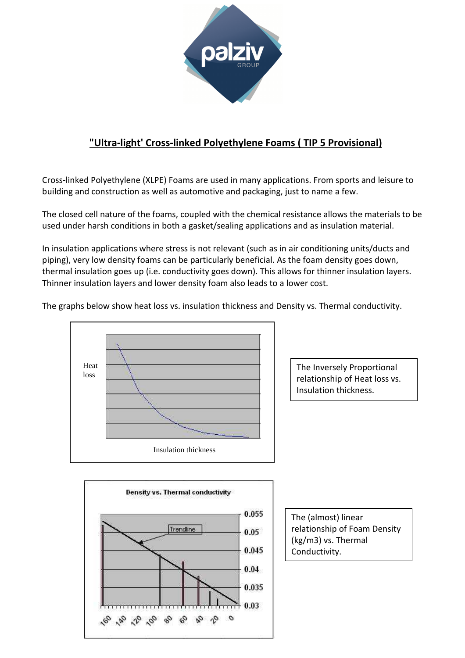

## **"Ultra-light' Cross-linked Polyethylene Foams ( TIP 5 Provisional)**

Cross-linked Polyethylene (XLPE) Foams are used in many applications. From sports and leisure to building and construction as well as automotive and packaging, just to name a few.

The closed cell nature of the foams, coupled with the chemical resistance allows the materials to be used under harsh conditions in both a gasket/sealing applications and as insulation material.

In insulation applications where stress is not relevant (such as in air conditioning units/ducts and piping), very low density foams can be particularly beneficial. As the foam density goes down, thermal insulation goes up (i.e. conductivity goes down). This allows for thinner insulation layers. Thinner insulation layers and lower density foam also leads to a lower cost.

The graphs below show heat loss vs. insulation thickness and Density vs. Thermal conductivity.



The Inversely Proportional relationship of Heat loss vs. Insulation thickness.



The (almost) linear relationship of Foam Density (kg/m3) vs. Thermal Conductivity.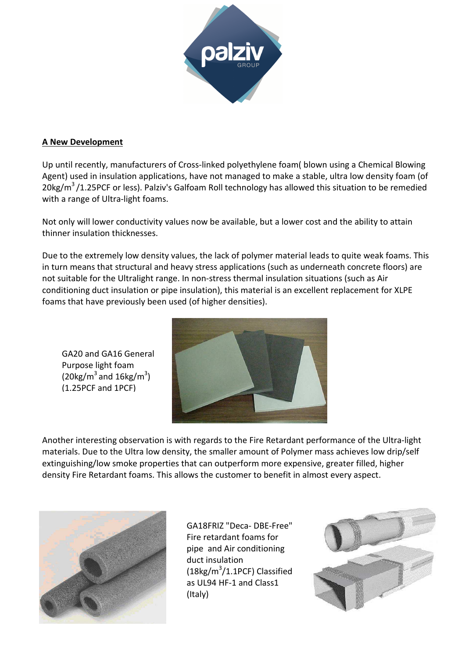

## **A New Development**

Up until recently, manufacturers of Cross-linked polyethylene foam( blown using a Chemical Blowing Agent) used in insulation applications, have not managed to make a stable, ultra low density foam (of 20kg/ $m^3$ /1.25PCF or less). Palziv's Galfoam Roll technology has allowed this situation to be remedied with a range of Ultra-light foams.

Not only will lower conductivity values now be available, but a lower cost and the ability to attain thinner insulation thicknesses.

Due to the extremely low density values, the lack of polymer material leads to quite weak foams. This in turn means that structural and heavy stress applications (such as underneath concrete floors) are not suitable for the Ultralight range. In non-stress thermal insulation situations (such as Air conditioning duct insulation or pipe insulation), this material is an excellent replacement for XLPE foams that have previously been used (of higher densities).

GA20 and GA16 General Purpose light foam (20 $kg/m^3$  and 16 $kg/m^3$ ) (1.25PCF and 1PCF)



Another interesting observation is with regards to the Fire Retardant performance of the Ultra-light materials. Due to the Ultra low density, the smaller amount of Polymer mass achieves low drip/self extinguishing/low smoke properties that can outperform more expensive, greater filled, higher density Fire Retardant foams. This allows the customer to benefit in almost every aspect.



GA18FRIZ "Deca- DBE-Free" Fire retardant foams for pipe and Air conditioning duct insulation (18kg/m<sup>3</sup>/1.1PCF) Classified as UL94 HF-1 and Class1 (Italy)